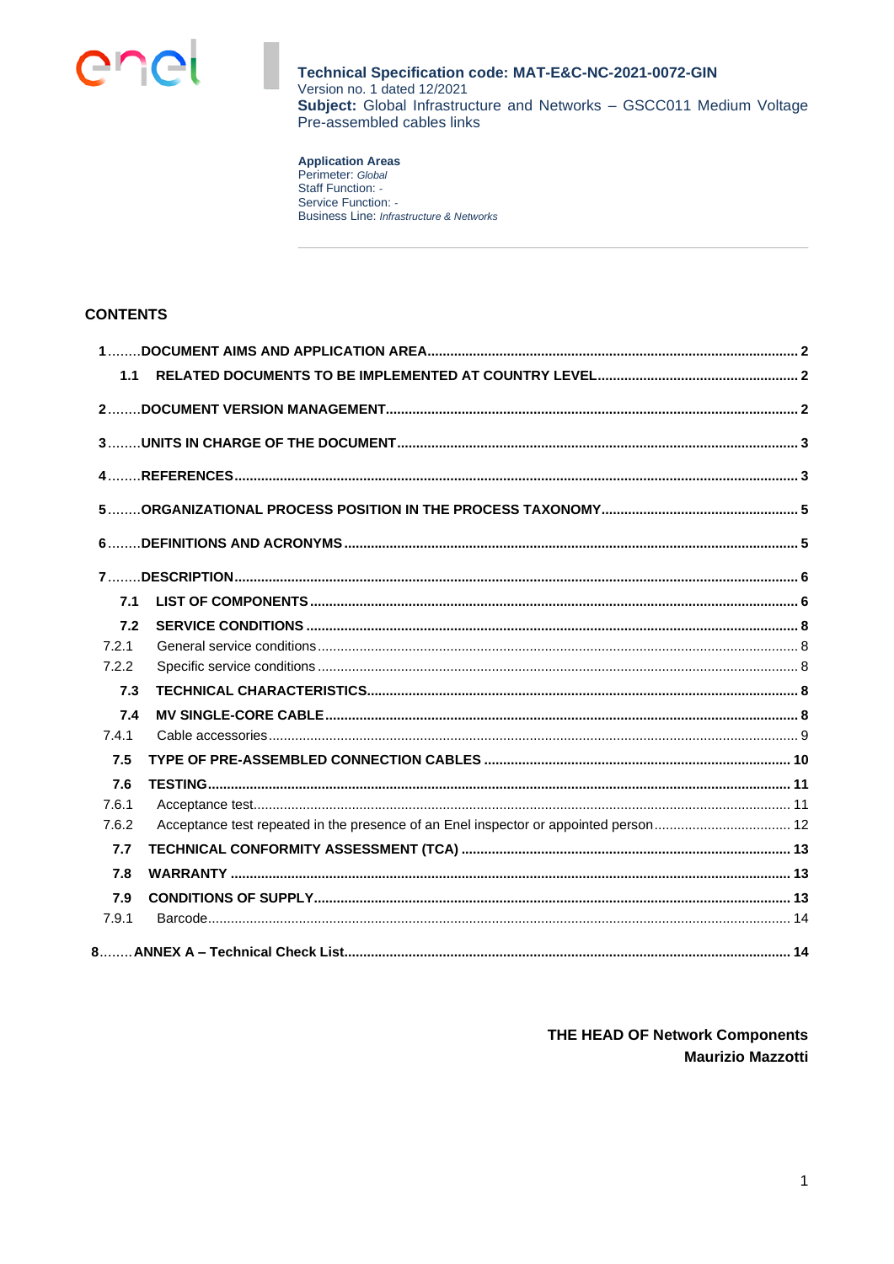

**Application Areas**<br>Perimeter: Global<br>Staff Function: -Service Function: -Business Line: Infrastructure & Networks

## **CONTENTS**

| 1.1   |  |
|-------|--|
|       |  |
|       |  |
|       |  |
|       |  |
|       |  |
|       |  |
| 7.1   |  |
| 7.2   |  |
| 7.2.1 |  |
| 7.2.2 |  |
| 7.3   |  |
| 7.4   |  |
| 7.4.1 |  |
| 7.5   |  |
| 7.6   |  |
| 7.6.1 |  |
| 7.6.2 |  |
| 7.7   |  |
| 7.8   |  |
| 7.9   |  |
| 7.9.1 |  |
|       |  |

# THE HEAD OF Network Components **Maurizio Mazzotti**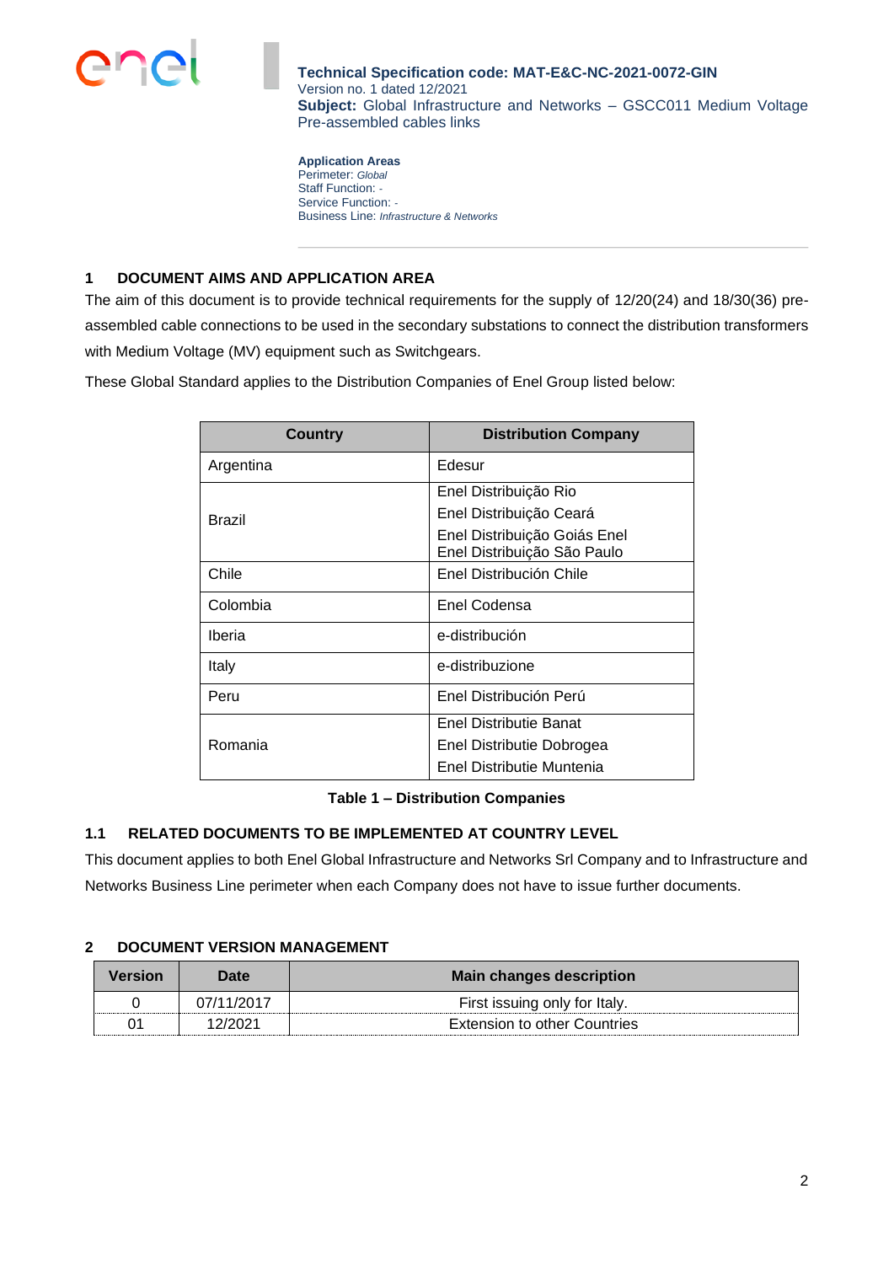

**Application Areas** Perimeter: *Global* Staff Function: *-* Service Function: *-* Business Line: *Infrastructure & Networks*

## <span id="page-1-0"></span>**1 DOCUMENT AIMS AND APPLICATION AREA**

The aim of this document is to provide technical requirements for the supply of 12/20(24) and 18/30(36) preassembled cable connections to be used in the secondary substations to connect the distribution transformers with Medium Voltage (MV) equipment such as Switchgears.

These Global Standard applies to the Distribution Companies of Enel Group listed below:

| Country       | <b>Distribution Company</b>                                 |
|---------------|-------------------------------------------------------------|
| Argentina     | Edesur                                                      |
|               | Enel Distribuição Rio                                       |
| <b>Brazil</b> | Enel Distribuição Ceará                                     |
|               | Enel Distribuição Goiás Enel<br>Enel Distribuição São Paulo |
| Chile         | Enel Distribución Chile                                     |
| Colombia      | Enel Codensa                                                |
| Iberia        | e-distribución                                              |
| Italy         | e-distribuzione                                             |
| Peru          | Enel Distribución Perú                                      |
|               | Enel Distributie Banat                                      |
| Romania       | Enel Distributie Dobrogea                                   |
|               | Enel Distributie Muntenia                                   |

### **Table 1 – Distribution Companies**

### <span id="page-1-1"></span>**1.1 RELATED DOCUMENTS TO BE IMPLEMENTED AT COUNTRY LEVEL**

This document applies to both Enel Global Infrastructure and Networks Srl Company and to Infrastructure and Networks Business Line perimeter when each Company does not have to issue further documents.

### <span id="page-1-2"></span>**2 DOCUMENT VERSION MANAGEMENT**

| Version | <b>Date</b> | <b>Main changes description</b> |
|---------|-------------|---------------------------------|
|         | 07/11/2017  | First issuing only for Italy.   |
| 01      | 12/2021     | Extension to other Countries    |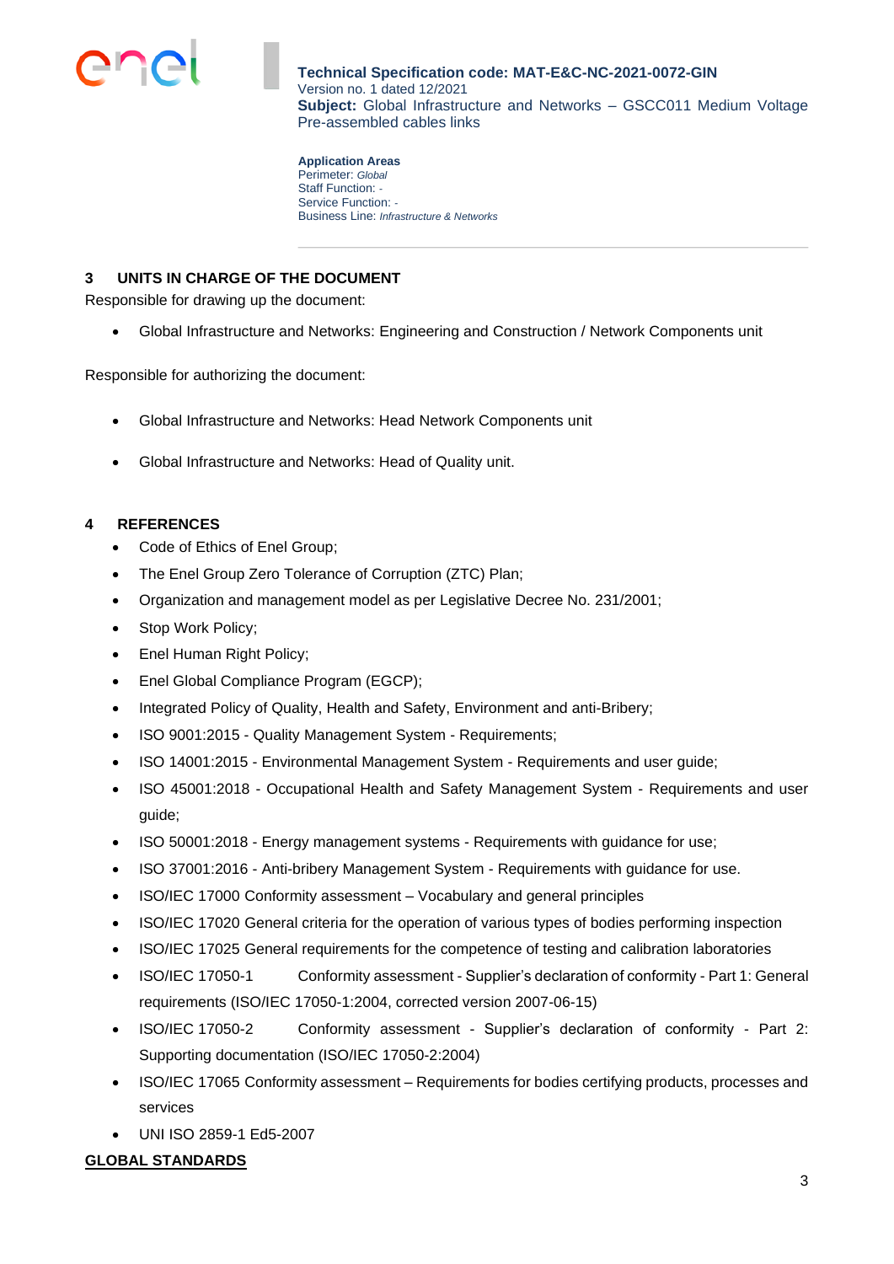

**Application Areas** Perimeter: *Global* Staff Function: *-* Service Function: *-* Business Line: *Infrastructure & Networks*

# <span id="page-2-0"></span>**3 UNITS IN CHARGE OF THE DOCUMENT**

Responsible for drawing up the document:

• Global Infrastructure and Networks: Engineering and Construction / Network Components unit

Responsible for authorizing the document:

- Global Infrastructure and Networks: Head Network Components unit
- Global Infrastructure and Networks: Head of Quality unit.

## <span id="page-2-1"></span>**4 REFERENCES**

- Code of Ethics of Enel Group;
- The Enel Group Zero Tolerance of Corruption (ZTC) Plan;
- Organization and management model as per Legislative Decree No. 231/2001;
- Stop Work Policy;
- Enel Human Right Policy;
- Enel Global Compliance Program (EGCP);
- Integrated Policy of Quality, Health and Safety, Environment and anti-Bribery;
- ISO 9001:2015 Quality Management System Requirements;
- ISO 14001:2015 Environmental Management System Requirements and user guide;
- ISO 45001:2018 Occupational Health and Safety Management System Requirements and user guide;
- ISO 50001:2018 Energy management systems Requirements with guidance for use;
- ISO 37001:2016 Anti-bribery Management System Requirements with guidance for use.
- ISO/IEC 17000 Conformity assessment Vocabulary and general principles
- ISO/IEC 17020 General criteria for the operation of various types of bodies performing inspection
- ISO/IEC 17025 General requirements for the competence of testing and calibration laboratories
- ISO/IEC 17050-1 Conformity assessment Supplier's declaration of conformity Part 1: General requirements (ISO/IEC 17050-1:2004, corrected version 2007-06-15)
- ISO/IEC 17050-2 Conformity assessment Supplier's declaration of conformity Part 2: Supporting documentation (ISO/IEC 17050-2:2004)
- ISO/IEC 17065 Conformity assessment Requirements for bodies certifying products, processes and services
- UNI ISO 2859-1 Ed5-2007

### **GLOBAL STANDARDS**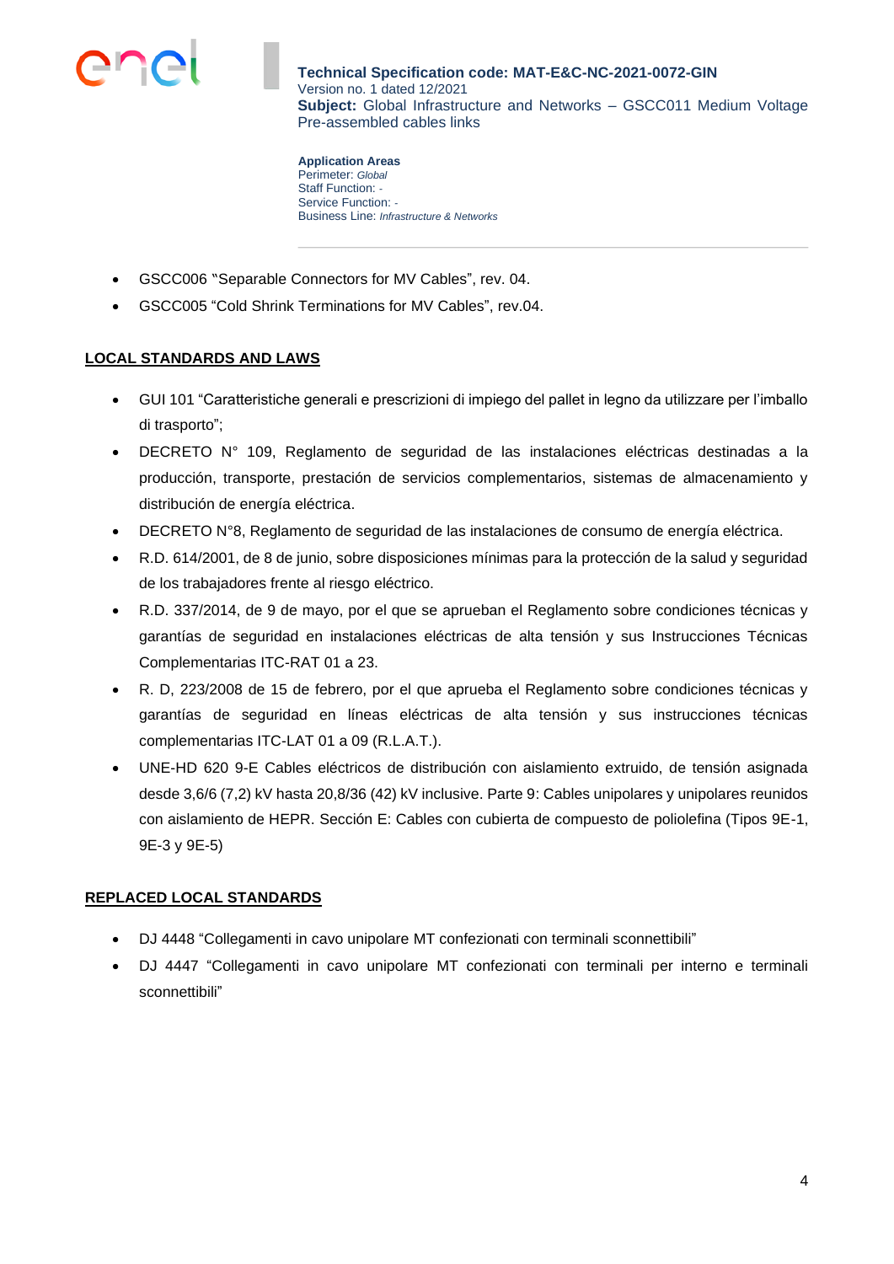

**Application Areas** Perimeter: *Global* Staff Function: *-* Service Function: *-* Business Line: *Infrastructure & Networks*

- GSCC006 "Separable Connectors for MV Cables", rev. 04.
- GSCC005 "Cold Shrink Terminations for MV Cables", rev.04.

# **LOCAL STANDARDS AND LAWS**

- GUI 101 "Caratteristiche generali e prescrizioni di impiego del pallet in legno da utilizzare per l'imballo di trasporto";
- DECRETO N° 109, Reglamento de seguridad de las instalaciones eléctricas destinadas a la producción, transporte, prestación de servicios complementarios, sistemas de almacenamiento y distribución de energía eléctrica.
- DECRETO N°8, Reglamento de seguridad de las instalaciones de consumo de energía eléctrica.
- R.D. 614/2001, de 8 de junio, sobre disposiciones mínimas para la protección de la salud y seguridad de los trabajadores frente al riesgo eléctrico.
- R.D. 337/2014, de 9 de mayo, por el que se aprueban el Reglamento sobre condiciones técnicas y garantías de seguridad en instalaciones eléctricas de alta tensión y sus Instrucciones Técnicas Complementarias ITC-RAT 01 a 23.
- R. D, 223/2008 de 15 de febrero, por el que aprueba el Reglamento sobre condiciones técnicas y garantías de seguridad en líneas eléctricas de alta tensión y sus instrucciones técnicas complementarias ITC-LAT 01 a 09 (R.L.A.T.).
- UNE-HD 620 9-E Cables eléctricos de distribución con aislamiento extruido, de tensión asignada desde 3,6/6 (7,2) kV hasta 20,8/36 (42) kV inclusive. Parte 9: Cables unipolares y unipolares reunidos con aislamiento de HEPR. Sección E: Cables con cubierta de compuesto de poliolefina (Tipos 9E-1, 9E-3 y 9E-5)

### **REPLACED LOCAL STANDARDS**

- DJ 4448 "Collegamenti in cavo unipolare MT confezionati con terminali sconnettibili"
- DJ 4447 "Collegamenti in cavo unipolare MT confezionati con terminali per interno e terminali sconnettibili"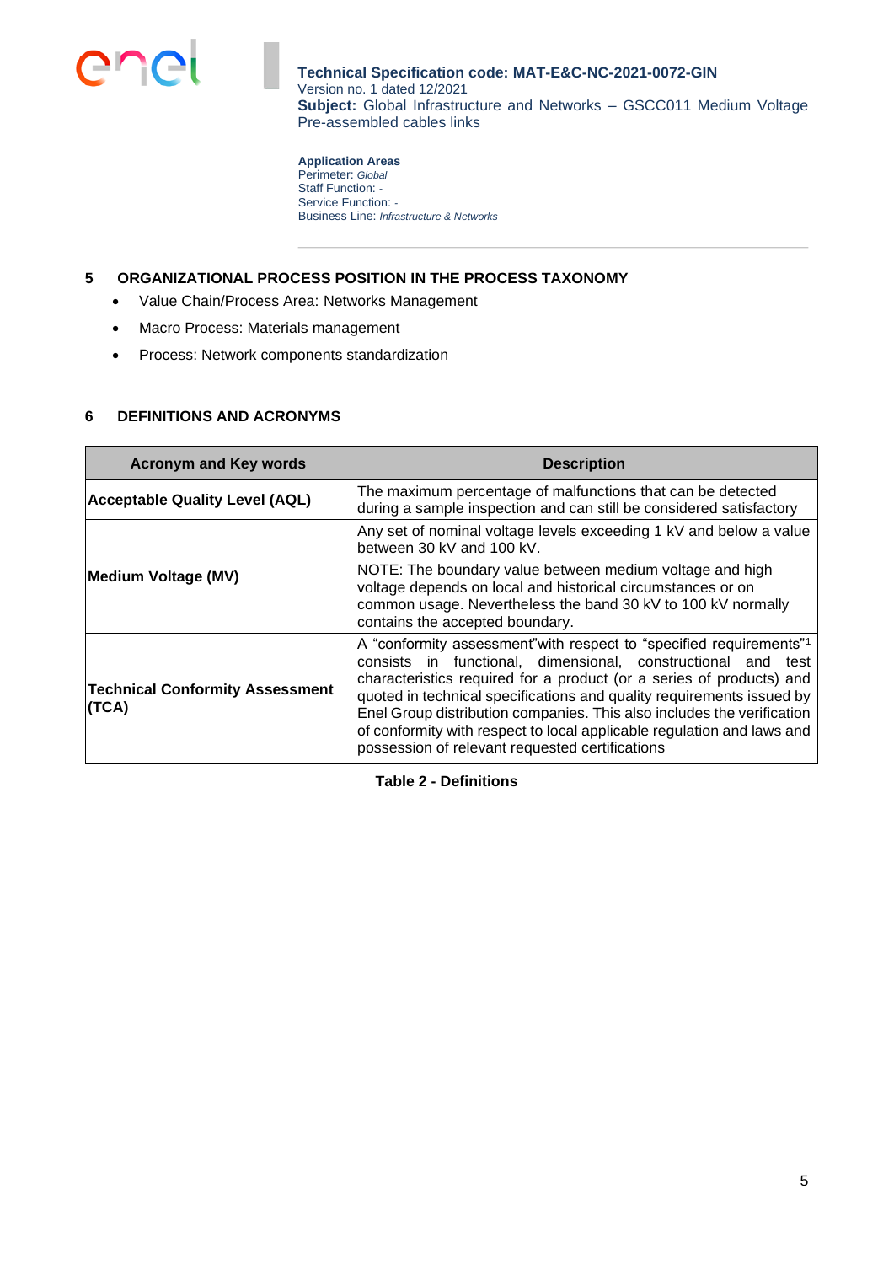

**Application Areas** Perimeter: *Global* Staff Function: *-* Service Function: *-* Business Line: *Infrastructure & Networks*

## <span id="page-4-0"></span>**5 ORGANIZATIONAL PROCESS POSITION IN THE PROCESS TAXONOMY**

- Value Chain/Process Area: Networks Management
- Macro Process: Materials management
- Process: Network components standardization

#### <span id="page-4-1"></span>**6 DEFINITIONS AND ACRONYMS**

| <b>Acronym and Key words</b>                    | <b>Description</b>                                                                                                                                                                                                                                                                                                                                                                                                                                                                                      |  |  |
|-------------------------------------------------|---------------------------------------------------------------------------------------------------------------------------------------------------------------------------------------------------------------------------------------------------------------------------------------------------------------------------------------------------------------------------------------------------------------------------------------------------------------------------------------------------------|--|--|
| <b>Acceptable Quality Level (AQL)</b>           | The maximum percentage of malfunctions that can be detected<br>during a sample inspection and can still be considered satisfactory                                                                                                                                                                                                                                                                                                                                                                      |  |  |
|                                                 | Any set of nominal voltage levels exceeding 1 kV and below a value<br>between 30 kV and 100 kV.                                                                                                                                                                                                                                                                                                                                                                                                         |  |  |
| Medium Voltage (MV)                             | NOTE: The boundary value between medium voltage and high<br>voltage depends on local and historical circumstances or on<br>common usage. Nevertheless the band 30 kV to 100 kV normally<br>contains the accepted boundary.                                                                                                                                                                                                                                                                              |  |  |
| <b>Technical Conformity Assessment</b><br>(TCA) | A "conformity assessment" with respect to "specified requirements" <sup>1</sup><br>consists in functional, dimensional, constructional and test<br>characteristics required for a product (or a series of products) and<br>quoted in technical specifications and quality requirements issued by<br>Enel Group distribution companies. This also includes the verification<br>of conformity with respect to local applicable regulation and laws and<br>possession of relevant requested certifications |  |  |

**Table 2 - Definitions**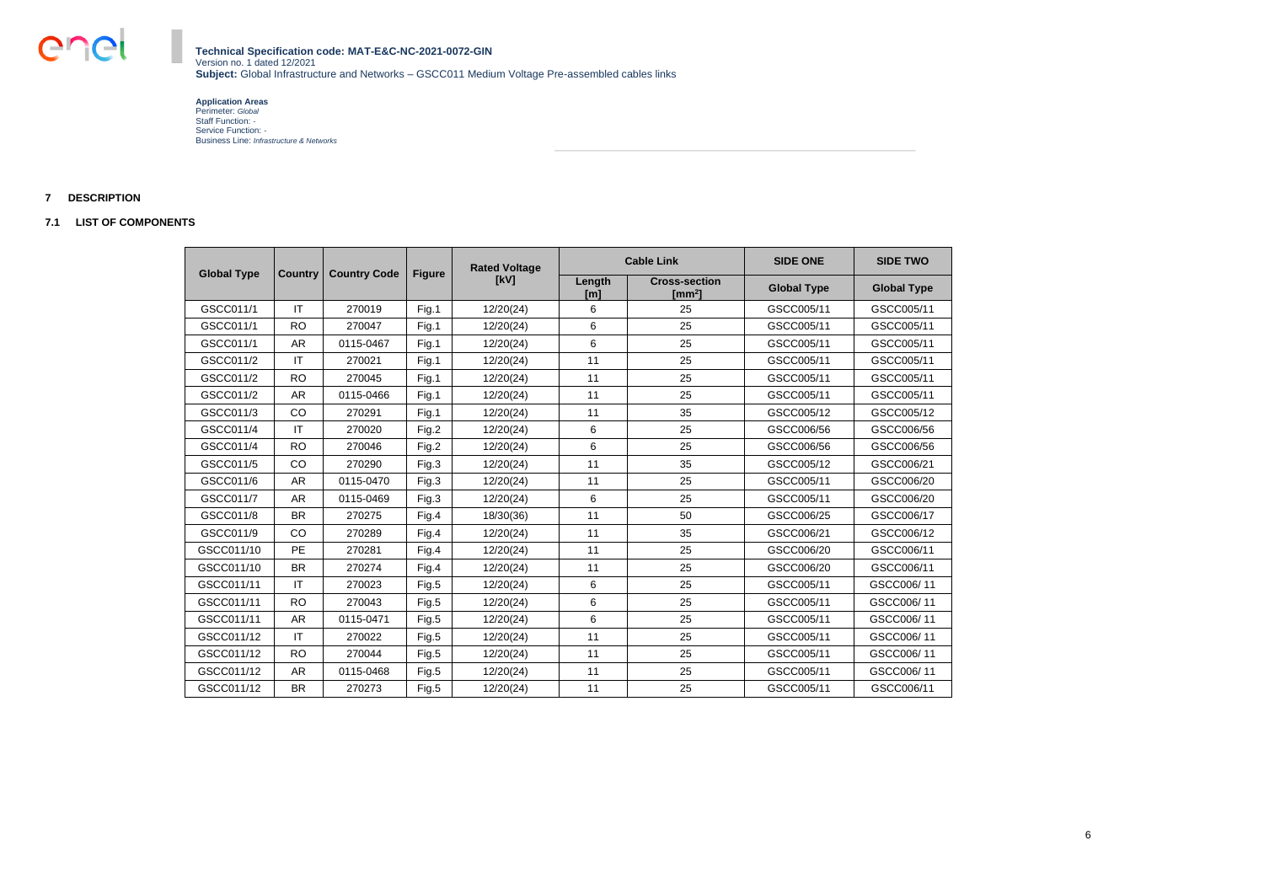**Application Areas** Perimeter: *Global* Staff Function: *-* Service Function: *-* Business Line: *Infrastructure & Networks*

## <span id="page-5-0"></span>**7 DESCRIPTION**

### <span id="page-5-1"></span>**7.1 LIST OF COMPONENTS**

| <b>Global Type</b> | <b>Cable Link</b><br><b>Rated Voltage</b><br><b>Country Code</b><br><b>Figure</b> |           |       | <b>SIDE ONE</b> | <b>SIDE TWO</b> |                                            |                    |                    |
|--------------------|-----------------------------------------------------------------------------------|-----------|-------|-----------------|-----------------|--------------------------------------------|--------------------|--------------------|
|                    | <b>Country</b>                                                                    |           |       | [kV]            | Length<br>[m]   | <b>Cross-section</b><br>[mm <sup>2</sup> ] | <b>Global Type</b> | <b>Global Type</b> |
| GSCC011/1          | IT                                                                                | 270019    | Fig.1 | 12/20(24)       | 6               | 25                                         | GSCC005/11         | GSCC005/11         |
| GSCC011/1          | <b>RO</b>                                                                         | 270047    | Fig.1 | 12/20(24)       | 6               | 25                                         | GSCC005/11         | GSCC005/11         |
| GSCC011/1          | <b>AR</b>                                                                         | 0115-0467 | Fig.1 | 12/20(24)       | 6               | 25                                         | GSCC005/11         | GSCC005/11         |
| GSCC011/2          | IT                                                                                | 270021    | Fig.1 | 12/20(24)       | 11              | 25                                         | GSCC005/11         | GSCC005/11         |
| GSCC011/2          | <b>RO</b>                                                                         | 270045    | Fig.1 | 12/20(24)       | 11              | 25                                         | GSCC005/11         | GSCC005/11         |
| GSCC011/2          | <b>AR</b>                                                                         | 0115-0466 | Fig.1 | 12/20(24)       | 11              | 25                                         | GSCC005/11         | GSCC005/11         |
| GSCC011/3          | CO                                                                                | 270291    | Fig.1 | 12/20(24)       | 11              | 35                                         | GSCC005/12         | GSCC005/12         |
| GSCC011/4          | $\mathsf{I}\mathsf{T}$                                                            | 270020    | Fig.2 | 12/20(24)       | 6               | 25                                         | GSCC006/56         | GSCC006/56         |
| GSCC011/4          | <b>RO</b>                                                                         | 270046    | Fig.2 | 12/20(24)       | 6               | 25                                         | GSCC006/56         | GSCC006/56         |
| GSCC011/5          | CO                                                                                | 270290    | Fig.3 | 12/20(24)       | 11              | 35                                         | GSCC005/12         | GSCC006/21         |
| GSCC011/6          | <b>AR</b>                                                                         | 0115-0470 | Fig.3 | 12/20(24)       | 11              | 25                                         | GSCC005/11         | GSCC006/20         |
| GSCC011/7          | <b>AR</b>                                                                         | 0115-0469 | Fig.3 | 12/20(24)       | 6               | 25                                         | GSCC005/11         | GSCC006/20         |
| GSCC011/8          | <b>BR</b>                                                                         | 270275    | Fig.4 | 18/30(36)       | 11              | 50                                         | GSCC006/25         | GSCC006/17         |
| GSCC011/9          | CO                                                                                | 270289    | Fig.4 | 12/20(24)       | 11              | 35                                         | GSCC006/21         | GSCC006/12         |
| GSCC011/10         | <b>PE</b>                                                                         | 270281    | Fig.4 | 12/20(24)       | 11              | 25                                         | GSCC006/20         | GSCC006/11         |
| GSCC011/10         | <b>BR</b>                                                                         | 270274    | Fig.4 | 12/20(24)       | 11              | 25                                         | GSCC006/20         | GSCC006/11         |
| GSCC011/11         | $\mathsf{I}\mathsf{T}$                                                            | 270023    | Fig.5 | 12/20(24)       | 6               | 25                                         | GSCC005/11         | GSCC006/11         |
| GSCC011/11         | <b>RO</b>                                                                         | 270043    | Fig.5 | 12/20(24)       | 6               | 25                                         | GSCC005/11         | GSCC006/11         |
| GSCC011/11         | <b>AR</b>                                                                         | 0115-0471 | Fig.5 | 12/20(24)       | 6               | 25                                         | GSCC005/11         | GSCC006/11         |
| GSCC011/12         | $\mathsf{I}\mathsf{T}$                                                            | 270022    | Fig.5 | 12/20(24)       | 11              | 25                                         | GSCC005/11         | GSCC006/11         |
| GSCC011/12         | <b>RO</b>                                                                         | 270044    | Fig.5 | 12/20(24)       | 11              | 25                                         | GSCC005/11         | GSCC006/11         |
| GSCC011/12         | <b>AR</b>                                                                         | 0115-0468 | Fig.5 | 12/20(24)       | 11              | 25                                         | GSCC005/11         | GSCC006/11         |
| GSCC011/12         | <b>BR</b>                                                                         | 270273    | Fig.5 | 12/20(24)       | 11              | 25                                         | GSCC005/11         | GSCC006/11         |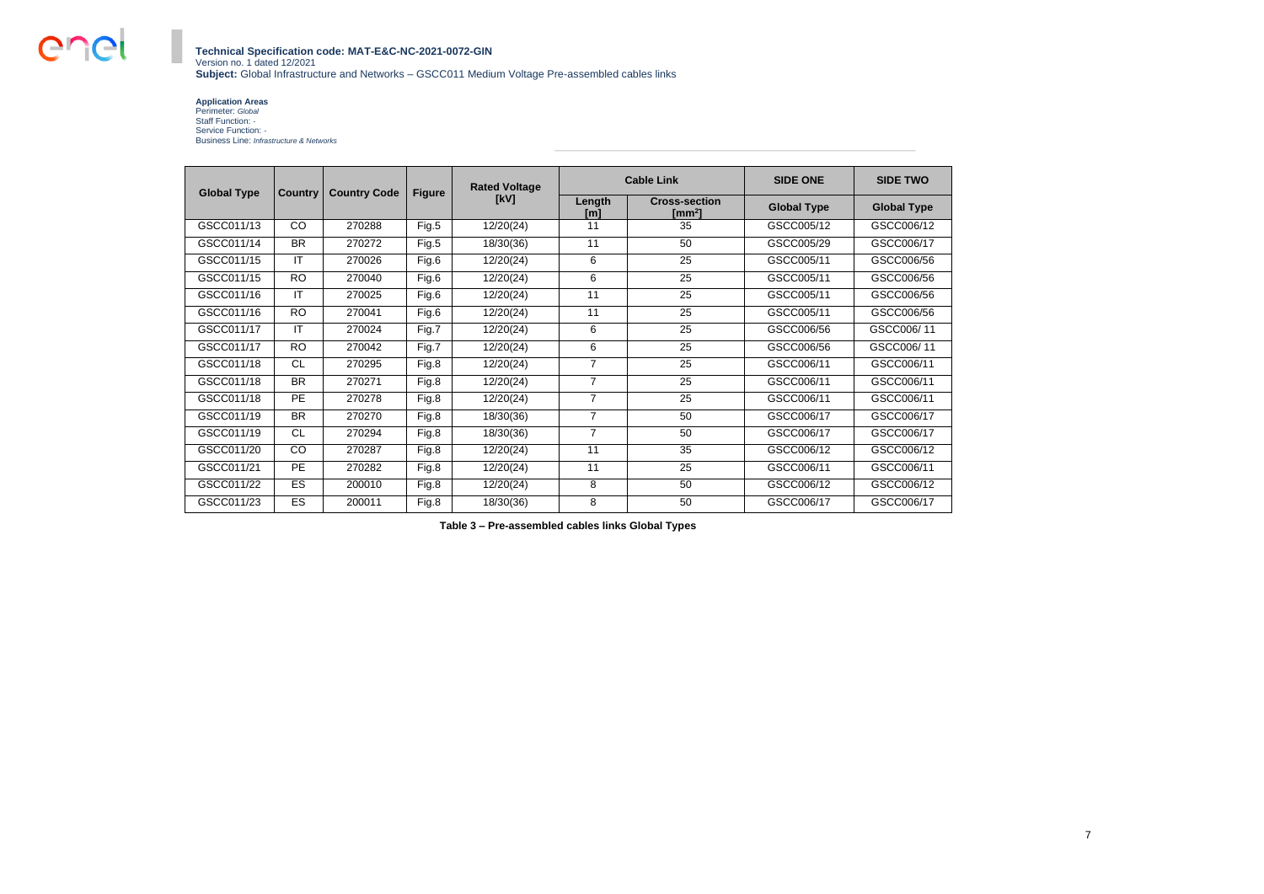en

#### **Technical Specification code: MAT-E&C-NC-2021-0072-GIN** Version no. 1 dated 12/2021 **Subject:** Global Infrastructure and Networks – GSCC011 Medium Voltage Pre-assembled cables links

#### **Application Areas**

Perimeter: *Global* Staff Function: *-* Service Function: *-* Business Line: *Infrastructure & Networks*

|                    |                |                     |               | <b>Rated Voltage</b> |                | <b>Cable Link</b>                          | <b>SIDE ONE</b>    | <b>SIDE TWO</b>    |
|--------------------|----------------|---------------------|---------------|----------------------|----------------|--------------------------------------------|--------------------|--------------------|
| <b>Global Type</b> | <b>Country</b> | <b>Country Code</b> | <b>Figure</b> | [kV]                 | Length<br>[m]  | <b>Cross-section</b><br>[mm <sup>2</sup> ] | <b>Global Type</b> | <b>Global Type</b> |
| GSCC011/13         | CO             | 270288              | Fig.5         | 12/20(24)            | 11             | 35                                         | GSCC005/12         | GSCC006/12         |
| GSCC011/14         | <b>BR</b>      | 270272              | Fig.5         | 18/30(36)            | 11             | 50 <sub>2</sub>                            | GSCC005/29         | GSCC006/17         |
| GSCC011/15         | IT             | 270026              | Fig.6         | 12/20(24)            | 6              | 25                                         | GSCC005/11         | GSCC006/56         |
| GSCC011/15         | <b>RO</b>      | 270040              | Fig.6         | 12/20(24)            | 6              | 25                                         | GSCC005/11         | GSCC006/56         |
| GSCC011/16         | IT             | 270025              | Fig.6         | 12/20(24)            | 11             | 25                                         | GSCC005/11         | GSCC006/56         |
| GSCC011/16         | <b>RO</b>      | 270041              | Fig.6         | 12/20(24)            | 11             | 25                                         | GSCC005/11         | GSCC006/56         |
| GSCC011/17         | IT             | 270024              | Fig.7         | 12/20(24)            | 6              | 25                                         | GSCC006/56         | GSCC006/11         |
| GSCC011/17         | <b>RO</b>      | 270042              | Fig.7         | 12/20(24)            | 6              | 25                                         | GSCC006/56         | GSCC006/11         |
| GSCC011/18         | <b>CL</b>      | 270295              | Fig.8         | 12/20(24)            | $\overline{7}$ | 25                                         | GSCC006/11         | GSCC006/11         |
| GSCC011/18         | <b>BR</b>      | 270271              | Fig.8         | 12/20(24)            | $\overline{7}$ | 25                                         | GSCC006/11         | GSCC006/11         |
| GSCC011/18         | <b>PE</b>      | 270278              | Fig.8         | 12/20(24)            | $\overline{7}$ | 25                                         | GSCC006/11         | GSCC006/11         |
| GSCC011/19         | <b>BR</b>      | 270270              | Fig.8         | 18/30(36)            | $\overline{7}$ | 50                                         | GSCC006/17         | GSCC006/17         |
| GSCC011/19         | <b>CL</b>      | 270294              | Fig.8         | 18/30(36)            | $\overline{7}$ | 50                                         | GSCC006/17         | GSCC006/17         |
| GSCC011/20         | CO             | 270287              | Fig.8         | 12/20(24)            | 11             | 35                                         | GSCC006/12         | GSCC006/12         |
| GSCC011/21         | PE             | 270282              | Fig.8         | 12/20(24)            | 11             | 25                                         | GSCC006/11         | GSCC006/11         |
| GSCC011/22         | ES             | 200010              | Fig.8         | 12/20(24)            | 8              | 50                                         | GSCC006/12         | GSCC006/12         |
| GSCC011/23         | ES             | 200011              | Fig.8         | 18/30(36)            | 8              | 50                                         | GSCC006/17         | GSCC006/17         |

**Table 3 – Pre-assembled cables links Global Types**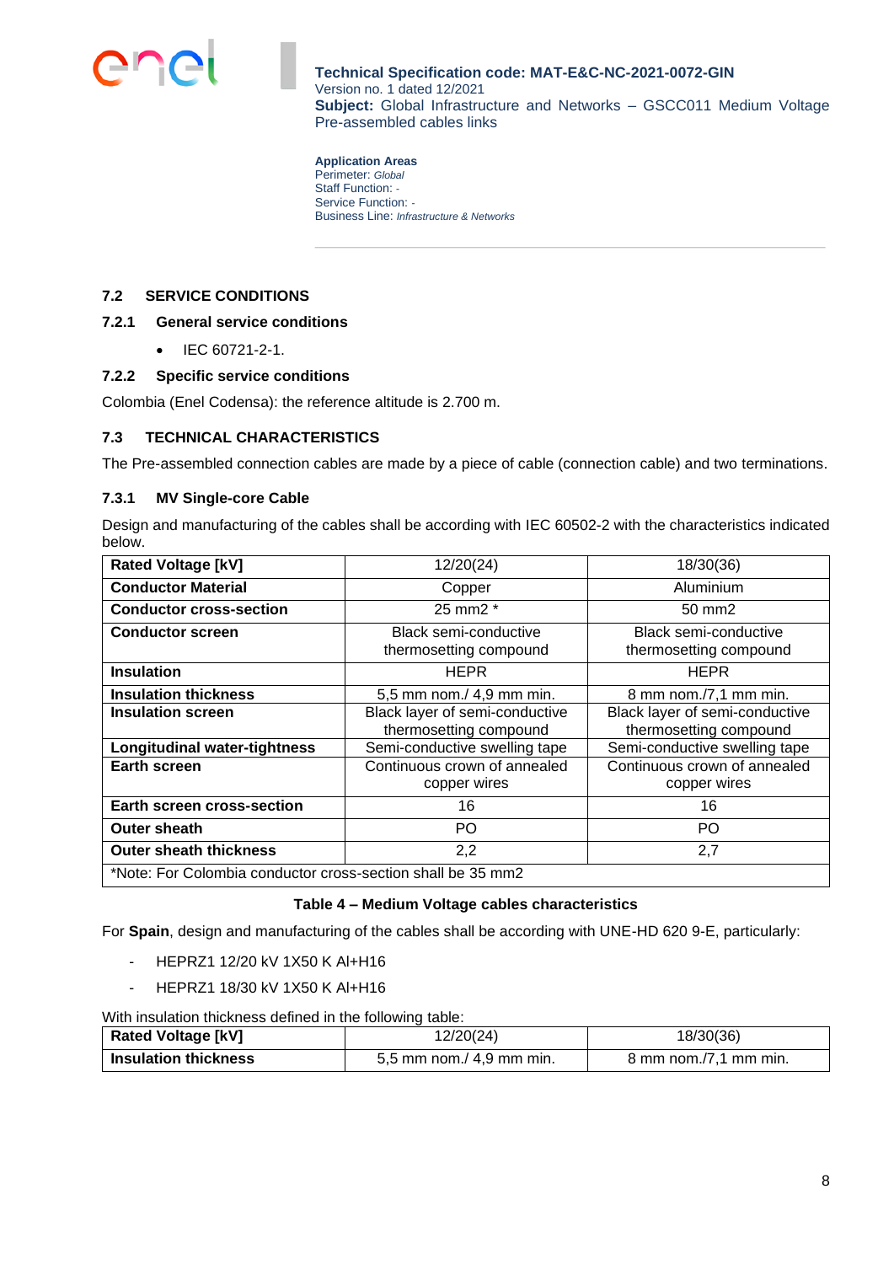

**Application Areas** Perimeter: *Global* Staff Function: *-* Service Function: *-* Business Line: *Infrastructure & Networks*

### <span id="page-7-0"></span>**7.2 SERVICE CONDITIONS**

### <span id="page-7-1"></span>**7.2.1 General service conditions**

• IEC 60721-2-1.

#### <span id="page-7-2"></span>**7.2.2 Specific service conditions**

Colombia (Enel Codensa): the reference altitude is 2.700 m.

#### <span id="page-7-3"></span>**7.3 TECHNICAL CHARACTERISTICS**

The Pre-assembled connection cables are made by a piece of cable (connection cable) and two terminations.

#### <span id="page-7-4"></span>**7.3.1 MV Single-core Cable**

Design and manufacturing of the cables shall be according with IEC 60502-2 with the characteristics indicated below.

| <b>Rated Voltage [kV]</b>                                   | 12/20(24)                                                | 18/30(36)                                                |  |  |
|-------------------------------------------------------------|----------------------------------------------------------|----------------------------------------------------------|--|--|
| <b>Conductor Material</b>                                   | Copper                                                   | Aluminium                                                |  |  |
| <b>Conductor cross-section</b>                              | 25 mm2 *                                                 | 50 mm2                                                   |  |  |
| <b>Conductor screen</b>                                     | <b>Black semi-conductive</b><br>thermosetting compound   | Black semi-conductive<br>thermosetting compound          |  |  |
| <b>Insulation</b>                                           | <b>HEPR</b>                                              | <b>HEPR</b>                                              |  |  |
| <b>Insulation thickness</b>                                 | 5,5 mm nom./ 4,9 mm min.                                 | 8 mm nom./7,1 mm min.                                    |  |  |
| <b>Insulation screen</b>                                    | Black layer of semi-conductive<br>thermosetting compound | Black layer of semi-conductive<br>thermosetting compound |  |  |
| <b>Longitudinal water-tightness</b>                         | Semi-conductive swelling tape                            | Semi-conductive swelling tape                            |  |  |
| <b>Earth screen</b>                                         | Continuous crown of annealed<br>copper wires             | Continuous crown of annealed<br>copper wires             |  |  |
| Earth screen cross-section                                  | 16                                                       | 16                                                       |  |  |
| P <sub>O</sub><br><b>Outer sheath</b>                       |                                                          | PO                                                       |  |  |
| <b>Outer sheath thickness</b><br>2,2                        |                                                          | 2,7                                                      |  |  |
| *Note: For Colombia conductor cross-section shall be 35 mm2 |                                                          |                                                          |  |  |

### **Table 4 – Medium Voltage cables characteristics**

For **Spain**, design and manufacturing of the cables shall be according with UNE-HD 620 9-E, particularly:

- HEPRZ1 12/20 kV 1X50 K Al+H16
- HEPRZ1 18/30 kV 1X50 K Al+H16

With insulation thickness defined in the following table:

| <b>Rated Voltage [kV]</b>   | 2/20(24)                 | 18/30(36)                       |
|-----------------------------|--------------------------|---------------------------------|
| <b>Insulation thickness</b> | 5,5 mm nom./ 4,9 mm min. | $8 \text{ mm}$ nom./7.1 mm min. |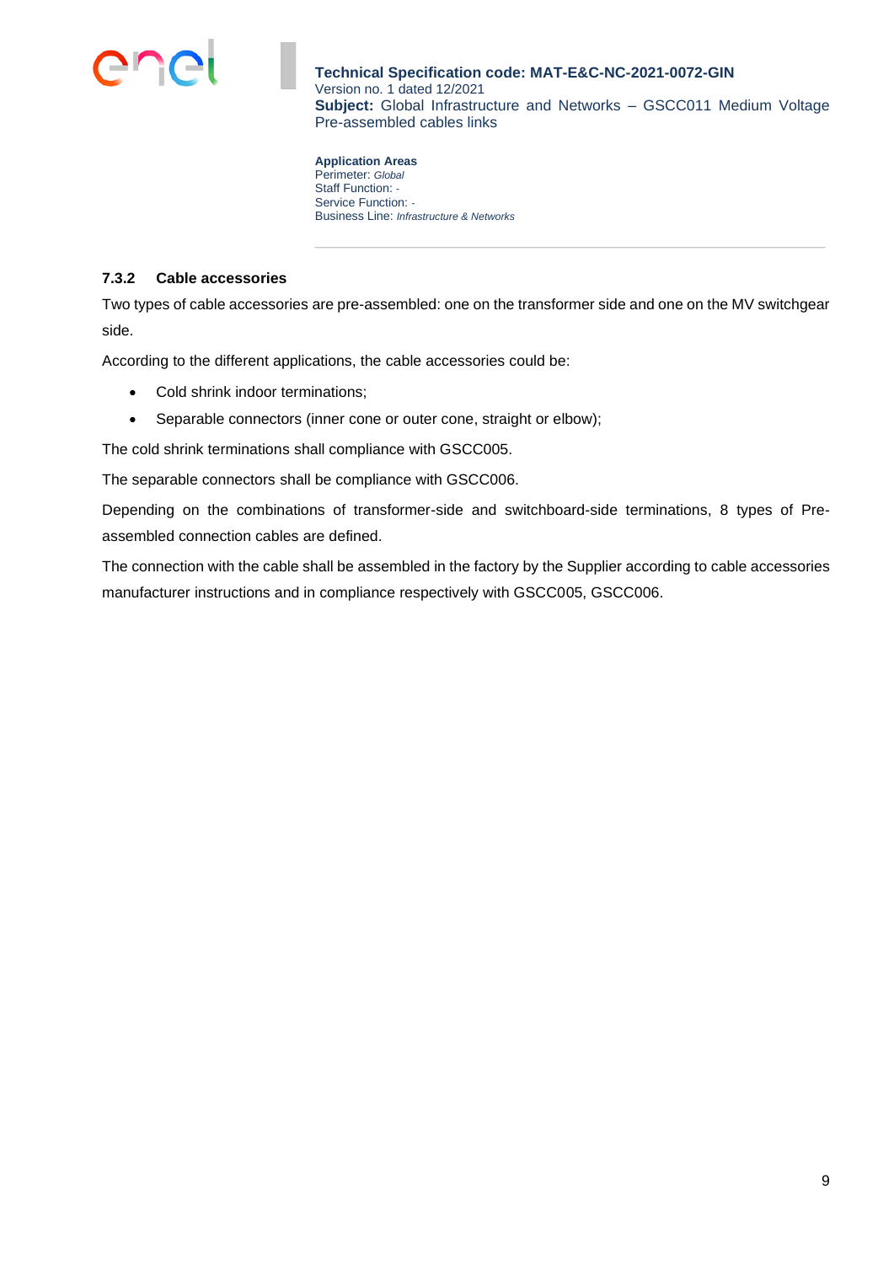

**Application Areas** Perimeter: *Global* Staff Function: *-* Service Function: *-* Business Line: *Infrastructure & Networks*

### <span id="page-8-0"></span>**7.3.2 Cable accessories**

Two types of cable accessories are pre-assembled: one on the transformer side and one on the MV switchgear side.

According to the different applications, the cable accessories could be:

- Cold shrink indoor terminations;
- Separable connectors (inner cone or outer cone, straight or elbow);

The cold shrink terminations shall compliance with GSCC005.

The separable connectors shall be compliance with GSCC006.

Depending on the combinations of transformer-side and switchboard-side terminations, 8 types of Preassembled connection cables are defined.

The connection with the cable shall be assembled in the factory by the Supplier according to cable accessories manufacturer instructions and in compliance respectively with GSCC005, GSCC006.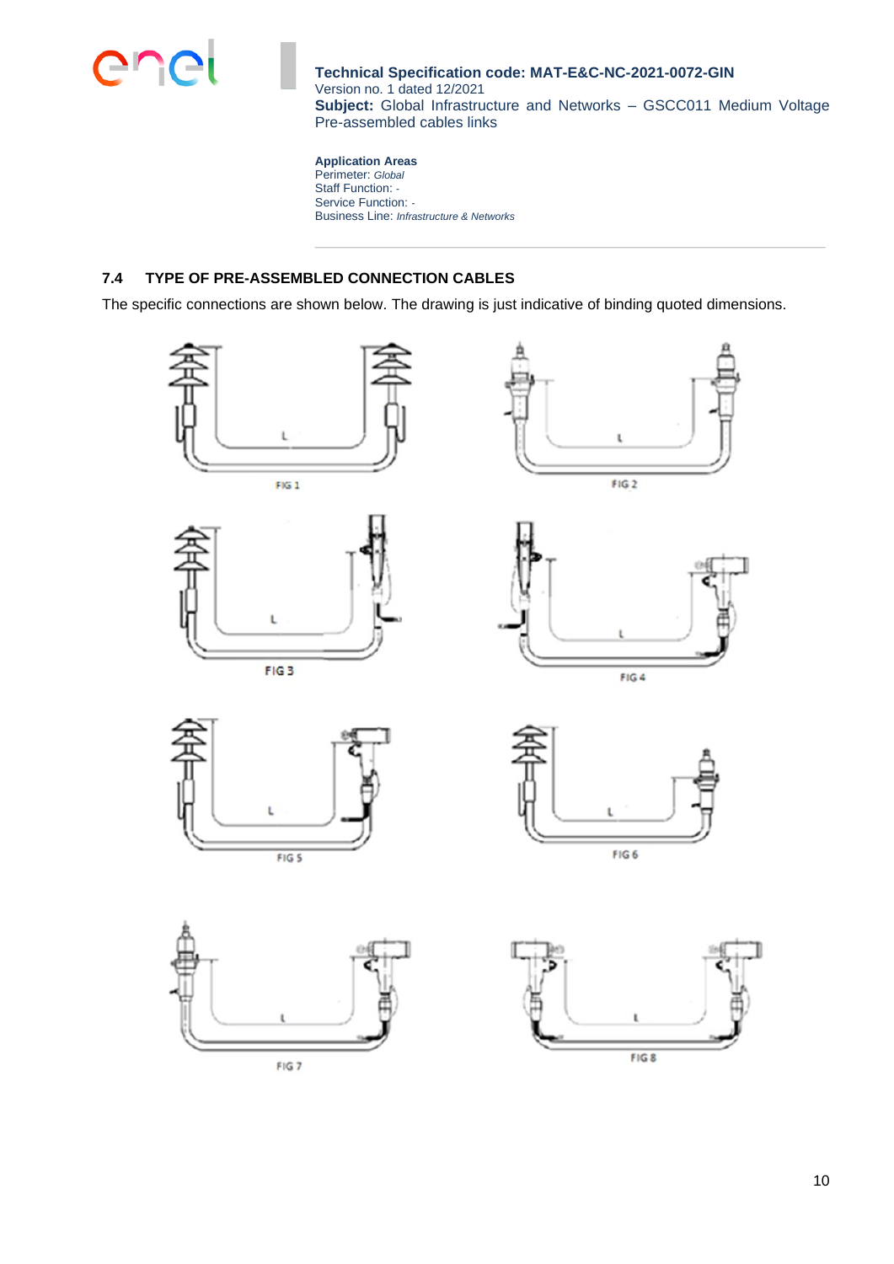

**Application Areas** Perimeter: *Global* Staff Function: *-* Service Function: *-* Business Line: *Infrastructure & Networks*

# <span id="page-9-0"></span>**7.4 TYPE OF PRE-ASSEMBLED CONNECTION CABLES**

The specific connections are shown below. The drawing is just indicative of binding quoted dimensions.















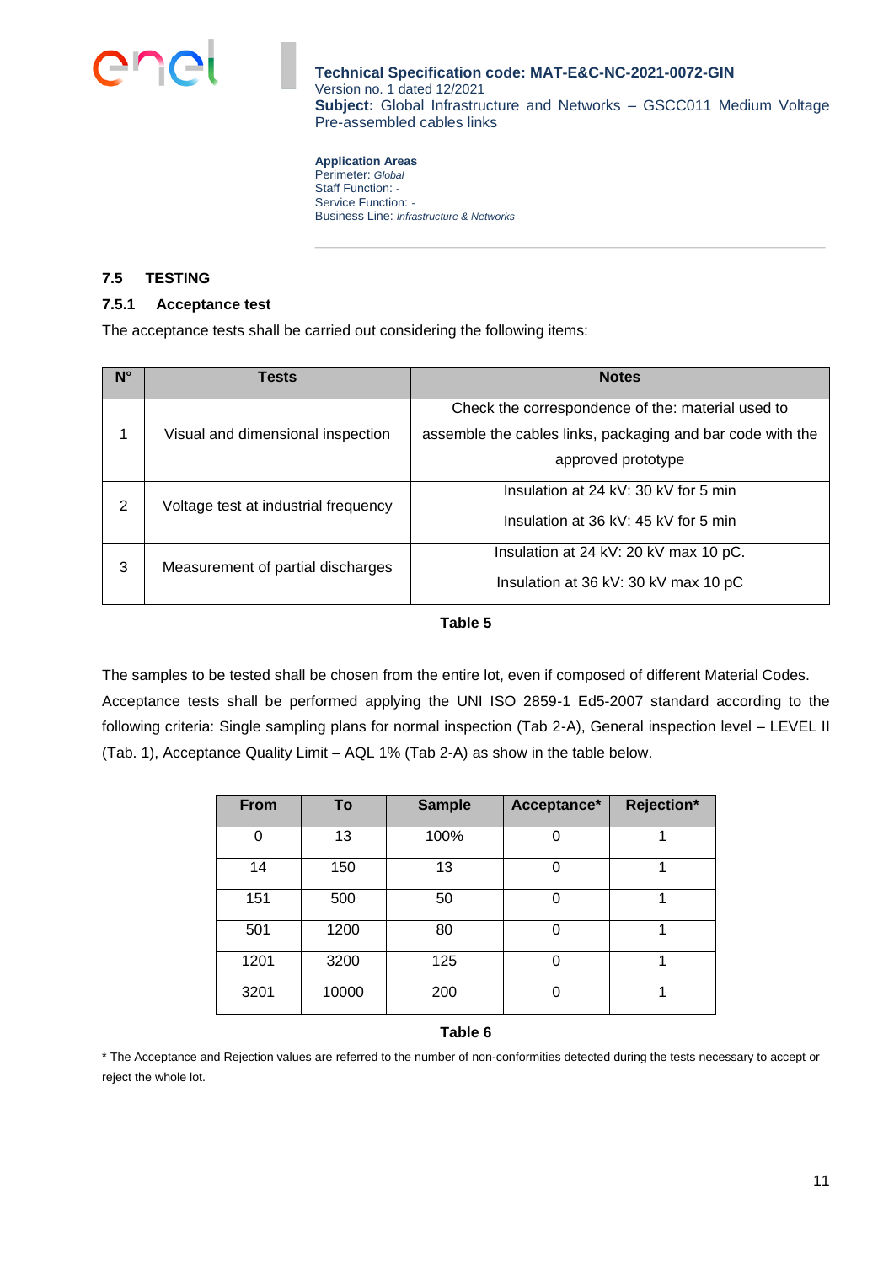

**Application Areas** Perimeter: *Global* Staff Function: *-* Service Function: *-* Business Line: *Infrastructure & Networks*

### <span id="page-10-0"></span>**7.5 TESTING**

### <span id="page-10-1"></span>**7.5.1 Acceptance test**

The acceptance tests shall be carried out considering the following items:

| $N^{\circ}$ | Tests                                | <b>Notes</b>                                               |
|-------------|--------------------------------------|------------------------------------------------------------|
|             |                                      | Check the correspondence of the: material used to          |
| 1           | Visual and dimensional inspection    | assemble the cables links, packaging and bar code with the |
|             |                                      | approved prototype                                         |
| 2           |                                      | Insulation at 24 kV: 30 kV for 5 min                       |
|             | Voltage test at industrial frequency | Insulation at 36 kV: 45 kV for 5 min                       |
| 3           |                                      | Insulation at 24 kV: 20 kV max 10 pC.                      |
|             | Measurement of partial discharges    | Insulation at 36 kV: 30 kV max 10 pC                       |

#### **Table 5**

The samples to be tested shall be chosen from the entire lot, even if composed of different Material Codes. Acceptance tests shall be performed applying the UNI ISO 2859-1 Ed5-2007 standard according to the following criteria: Single sampling plans for normal inspection (Tab 2-A), General inspection level – LEVEL II (Tab. 1), Acceptance Quality Limit – AQL 1% (Tab 2-A) as show in the table below.

| <b>From</b> | To    | <b>Sample</b> | Acceptance* | Rejection* |
|-------------|-------|---------------|-------------|------------|
| 0           | 13    | 100%          |             |            |
| 14          | 150   | 13            |             |            |
| 151         | 500   | 50            | 0           |            |
| 501         | 1200  | 80            | ი           |            |
| 1201        | 3200  | 125           |             |            |
| 3201        | 10000 | 200           |             |            |

#### **Table 6**

\* The Acceptance and Rejection values are referred to the number of non-conformities detected during the tests necessary to accept or reject the whole lot.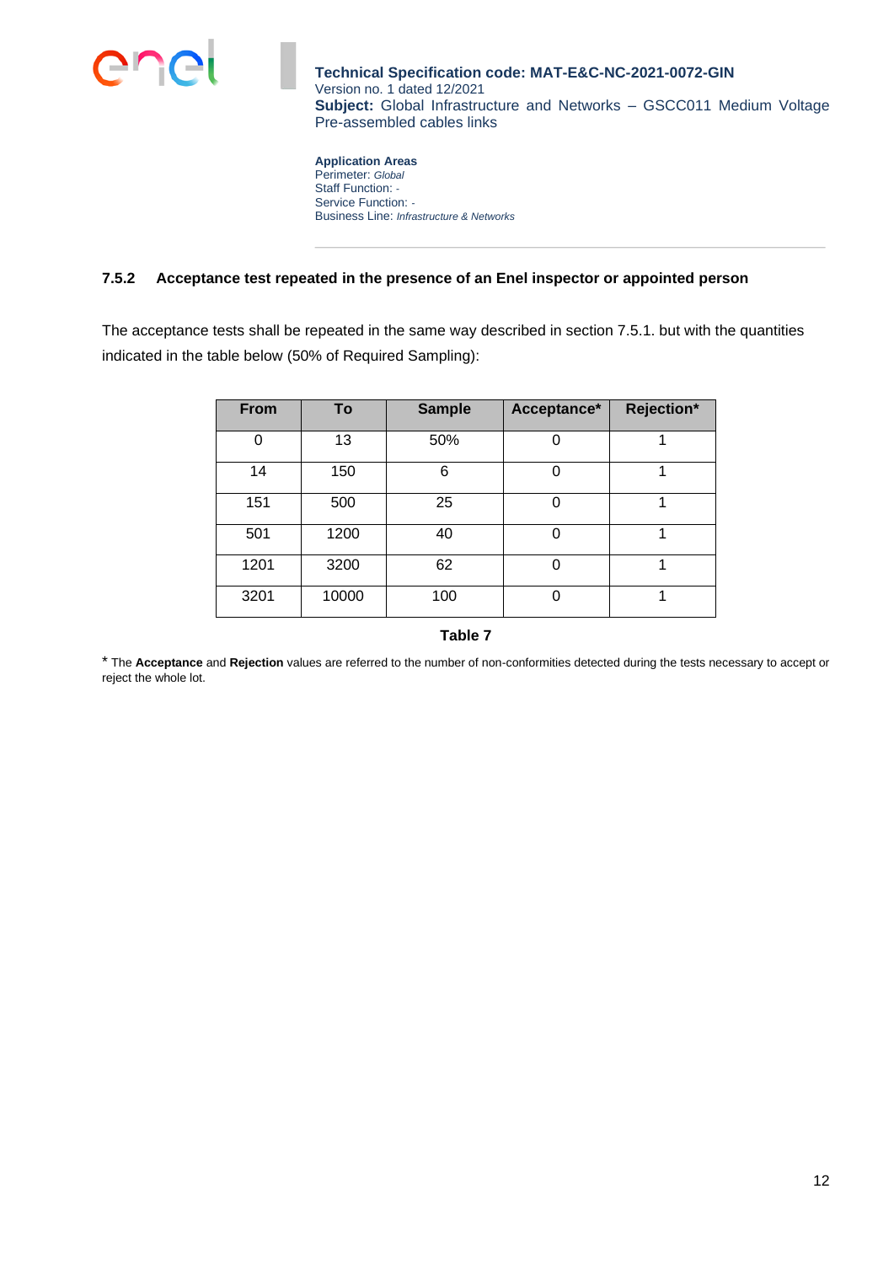

**Application Areas** Perimeter: *Global* Staff Function: *-* Service Function: *-* Business Line: *Infrastructure & Networks*

## <span id="page-11-0"></span>**7.5.2 Acceptance test repeated in the presence of an Enel inspector or appointed person**

The acceptance tests shall be repeated in the same way described in section 7.5.1. but with the quantities indicated in the table below (50% of Required Sampling):

| <b>From</b> | To    | <b>Sample</b> | Acceptance* | Rejection* |
|-------------|-------|---------------|-------------|------------|
| $\Omega$    | 13    | 50%           |             |            |
| 14          | 150   | 6             |             |            |
| 151         | 500   | 25            |             |            |
| 501         | 1200  | 40            |             |            |
| 1201        | 3200  | 62            |             |            |
| 3201        | 10000 | 100           | 0           |            |

**Table 7**

\* The **Acceptance** and **Rejection** values are referred to the number of non-conformities detected during the tests necessary to accept or reject the whole lot.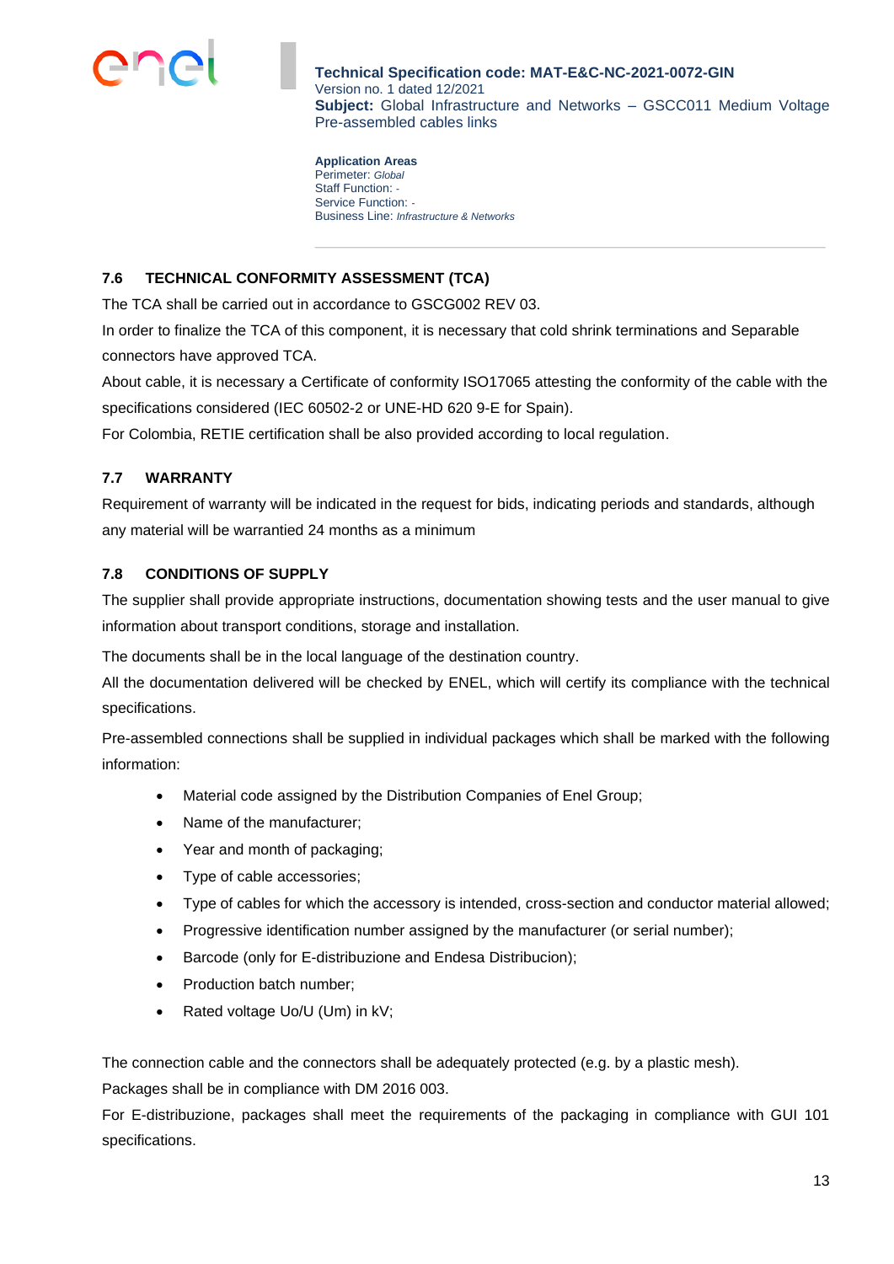

**Application Areas** Perimeter: *Global* Staff Function: *-* Service Function: *-* Business Line: *Infrastructure & Networks*

# <span id="page-12-0"></span>**7.6 TECHNICAL CONFORMITY ASSESSMENT (TCA)**

The TCA shall be carried out in accordance to GSCG002 REV 03.

In order to finalize the TCA of this component, it is necessary that cold shrink terminations and Separable connectors have approved TCA.

About cable, it is necessary a Certificate of conformity ISO17065 attesting the conformity of the cable with the specifications considered (IEC 60502-2 or UNE-HD 620 9-E for Spain).

For Colombia, RETIE certification shall be also provided according to local regulation.

# <span id="page-12-1"></span>**7.7 WARRANTY**

Requirement of warranty will be indicated in the request for bids, indicating periods and standards, although any material will be warrantied 24 months as a minimum

# <span id="page-12-2"></span>**7.8 CONDITIONS OF SUPPLY**

The supplier shall provide appropriate instructions, documentation showing tests and the user manual to give information about transport conditions, storage and installation.

The documents shall be in the local language of the destination country.

All the documentation delivered will be checked by ENEL, which will certify its compliance with the technical specifications.

Pre-assembled connections shall be supplied in individual packages which shall be marked with the following information:

- Material code assigned by the Distribution Companies of Enel Group;
- Name of the manufacturer;
- Year and month of packaging;
- Type of cable accessories;
- Type of cables for which the accessory is intended, cross-section and conductor material allowed;
- Progressive identification number assigned by the manufacturer (or serial number);
- Barcode (only for E-distribuzione and Endesa Distribucion);
- Production batch number;
- Rated voltage Uo/U (Um) in kV;

The connection cable and the connectors shall be adequately protected (e.g. by a plastic mesh).

Packages shall be in compliance with DM 2016 003.

For E-distribuzione, packages shall meet the requirements of the packaging in compliance with GUI 101 specifications.